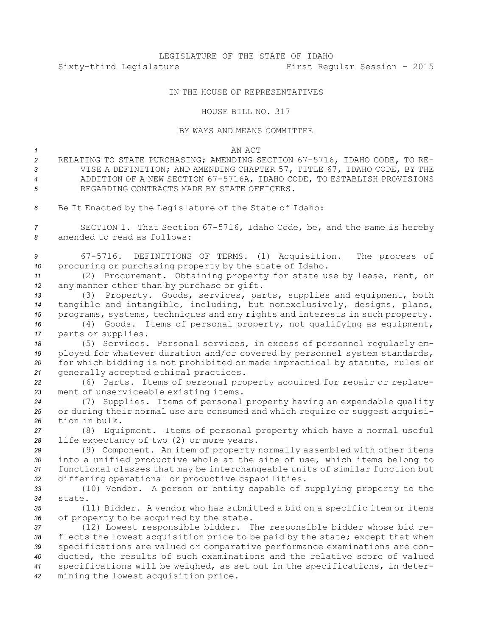# LEGISLATURE OF THE STATE OF IDAHO Sixty-third Legislature First Regular Session - 2015

## IN THE HOUSE OF REPRESENTATIVES

### HOUSE BILL NO. 317

### BY WAYS AND MEANS COMMITTEE

#### *1* AN ACT

- *<sup>2</sup>* RELATING TO STATE PURCHASING; AMENDING SECTION 67-5716, IDAHO CODE, TO RE-*<sup>3</sup>* VISE A DEFINITION; AND AMENDING CHAPTER 57, TITLE 67, IDAHO CODE, BY THE *<sup>4</sup>* ADDITION OF A NEW SECTION 67-5716A, IDAHO CODE, TO ESTABLISH PROVISIONS *5* REGARDING CONTRACTS MADE BY STATE OFFICERS.
- *<sup>6</sup>* Be It Enacted by the Legislature of the State of Idaho:

*<sup>7</sup>* SECTION 1. That Section 67-5716, Idaho Code, be, and the same is hereby *8* amended to read as follows:

*<sup>9</sup>* 67-5716. DEFINITIONS OF TERMS. (1) Acquisition. The process of *<sup>10</sup>* procuring or purchasing property by the state of Idaho.

*<sup>11</sup>* (2) Procurement. Obtaining property for state use by lease, rent, or *<sup>12</sup>* any manner other than by purchase or gift.

*<sup>13</sup>* (3) Property. Goods, services, parts, supplies and equipment, both *<sup>14</sup>* tangible and intangible, including, but nonexclusively, designs, plans, *<sup>15</sup>* programs, systems, techniques and any rights and interests in such property.

*<sup>16</sup>* (4) Goods. Items of personal property, not qualifying as equipment, *<sup>17</sup>* parts or supplies.

 (5) Services. Personal services, in excess of personnel regularly em- ployed for whatever duration and/or covered by personnel system standards, for which bidding is not prohibited or made impractical by statute, rules or 21 generally accepted ethical practices.

*<sup>22</sup>* (6) Parts. Items of personal property acquired for repair or replace-*<sup>23</sup>* ment of unserviceable existing items.

*<sup>24</sup>* (7) Supplies. Items of personal property having an expendable quality 25 or during their normal use are consumed and which require or suggest acquisi-*26* tion in bulk.

*<sup>27</sup>* (8) Equipment. Items of personal property which have <sup>a</sup> normal useful *<sup>28</sup>* life expectancy of two (2) or more years.

 (9) Component. An item of property normally assembled with other items into <sup>a</sup> unified productive whole at the site of use, which items belong to functional classes that may be interchangeable units of similar function but differing operational or productive capabilities.

*<sup>33</sup>* (10) Vendor. <sup>A</sup> person or entity capable of supplying property to the *34* state.

*<sup>35</sup>* (11) Bidder. <sup>A</sup> vendor who has submitted <sup>a</sup> bid on <sup>a</sup> specific item or items *<sup>36</sup>* of property to be acquired by the state.

 (12) Lowest responsible bidder. The responsible bidder whose bid re- flects the lowest acquisition price to be paid by the state; except that when specifications are valued or comparative performance examinations are con- ducted, the results of such examinations and the relative score of valued specifications will be weighed, as set out in the specifications, in deter-mining the lowest acquisition price.